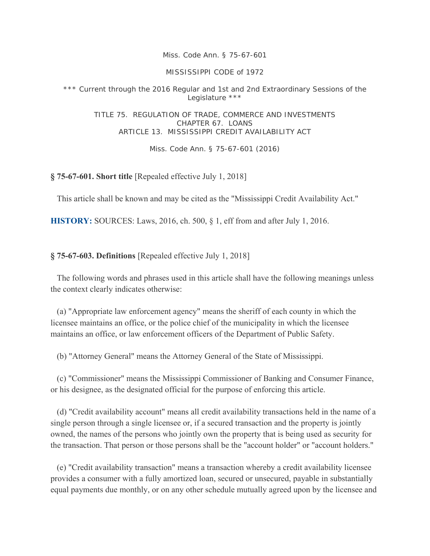*Miss. Code Ann. § 75-67-601* 

MISSISSIPPI CODE of 1972

\*\*\* Current through the 2016 Regular and 1st and 2nd Extraordinary Sessions of the Legislature \*\*\*

TITLE 75. REGULATION OF TRADE, COMMERCE AND INVESTMENTS CHAPTER 67. LOANS ARTICLE 13. MISSISSIPPI CREDIT AVAILABILITY ACT

Miss. Code Ann. § 75-67-601 (2016)

**§ 75-67-601. Short title** [Repealed effective July 1, 2018]

This article shall be known and may be cited as the "Mississippi Credit Availability Act."

**HISTORY:** SOURCES: Laws, 2016, ch. 500, § 1, eff from and after July 1, 2016.

**§ 75-67-603. Definitions** [Repealed effective July 1, 2018]

 The following words and phrases used in this article shall have the following meanings unless the context clearly indicates otherwise:

 (a) "Appropriate law enforcement agency" means the sheriff of each county in which the licensee maintains an office, or the police chief of the municipality in which the licensee maintains an office, or law enforcement officers of the Department of Public Safety.

(b) "Attorney General" means the Attorney General of the State of Mississippi.

 (c) "Commissioner" means the Mississippi Commissioner of Banking and Consumer Finance, or his designee, as the designated official for the purpose of enforcing this article.

 (d) "Credit availability account" means all credit availability transactions held in the name of a single person through a single licensee or, if a secured transaction and the property is jointly owned, the names of the persons who jointly own the property that is being used as security for the transaction. That person or those persons shall be the "account holder" or "account holders."

 (e) "Credit availability transaction" means a transaction whereby a credit availability licensee provides a consumer with a fully amortized loan, secured or unsecured, payable in substantially equal payments due monthly, or on any other schedule mutually agreed upon by the licensee and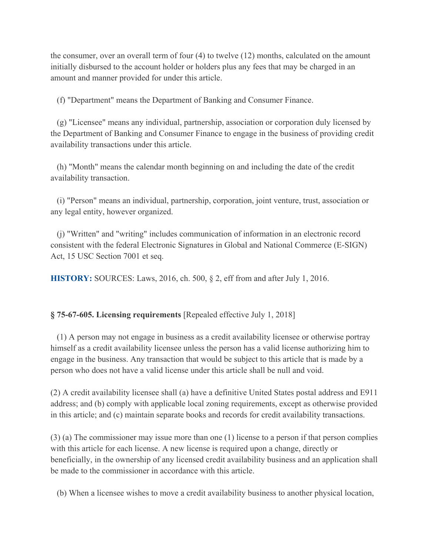the consumer, over an overall term of four (4) to twelve (12) months, calculated on the amount initially disbursed to the account holder or holders plus any fees that may be charged in an amount and manner provided for under this article.

(f) "Department" means the Department of Banking and Consumer Finance.

 (g) "Licensee" means any individual, partnership, association or corporation duly licensed by the Department of Banking and Consumer Finance to engage in the business of providing credit availability transactions under this article.

 (h) "Month" means the calendar month beginning on and including the date of the credit availability transaction.

 (i) "Person" means an individual, partnership, corporation, joint venture, trust, association or any legal entity, however organized.

 (j) "Written" and "writing" includes communication of information in an electronic record consistent with the federal Electronic Signatures in Global and National Commerce (E-SIGN) Act, 15 USC Section 7001 et seq.

**HISTORY:** SOURCES: Laws, 2016, ch. 500, § 2, eff from and after July 1, 2016.

## **§ 75-67-605. Licensing requirements** [Repealed effective July 1, 2018]

 (1) A person may not engage in business as a credit availability licensee or otherwise portray himself as a credit availability licensee unless the person has a valid license authorizing him to engage in the business. Any transaction that would be subject to this article that is made by a person who does not have a valid license under this article shall be null and void.

(2) A credit availability licensee shall (a) have a definitive United States postal address and E911 address; and (b) comply with applicable local zoning requirements, except as otherwise provided in this article; and (c) maintain separate books and records for credit availability transactions.

(3) (a) The commissioner may issue more than one (1) license to a person if that person complies with this article for each license. A new license is required upon a change, directly or beneficially, in the ownership of any licensed credit availability business and an application shall be made to the commissioner in accordance with this article.

(b) When a licensee wishes to move a credit availability business to another physical location,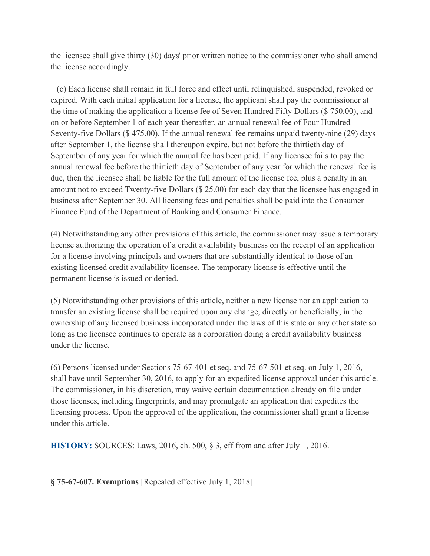the licensee shall give thirty (30) days' prior written notice to the commissioner who shall amend the license accordingly.

 (c) Each license shall remain in full force and effect until relinquished, suspended, revoked or expired. With each initial application for a license, the applicant shall pay the commissioner at the time of making the application a license fee of Seven Hundred Fifty Dollars (\$ 750.00), and on or before September 1 of each year thereafter, an annual renewal fee of Four Hundred Seventy-five Dollars (\$ 475.00). If the annual renewal fee remains unpaid twenty-nine (29) days after September 1, the license shall thereupon expire, but not before the thirtieth day of September of any year for which the annual fee has been paid. If any licensee fails to pay the annual renewal fee before the thirtieth day of September of any year for which the renewal fee is due, then the licensee shall be liable for the full amount of the license fee, plus a penalty in an amount not to exceed Twenty-five Dollars (\$ 25.00) for each day that the licensee has engaged in business after September 30. All licensing fees and penalties shall be paid into the Consumer Finance Fund of the Department of Banking and Consumer Finance.

(4) Notwithstanding any other provisions of this article, the commissioner may issue a temporary license authorizing the operation of a credit availability business on the receipt of an application for a license involving principals and owners that are substantially identical to those of an existing licensed credit availability licensee. The temporary license is effective until the permanent license is issued or denied.

(5) Notwithstanding other provisions of this article, neither a new license nor an application to transfer an existing license shall be required upon any change, directly or beneficially, in the ownership of any licensed business incorporated under the laws of this state or any other state so long as the licensee continues to operate as a corporation doing a credit availability business under the license.

(6) Persons licensed under Sections 75-67-401 et seq. and 75-67-501 et seq. on July 1, 2016, shall have until September 30, 2016, to apply for an expedited license approval under this article. The commissioner, in his discretion, may waive certain documentation already on file under those licenses, including fingerprints, and may promulgate an application that expedites the licensing process. Upon the approval of the application, the commissioner shall grant a license under this article.

**HISTORY:** SOURCES: Laws, 2016, ch. 500, § 3, eff from and after July 1, 2016.

**§ 75-67-607. Exemptions** [Repealed effective July 1, 2018]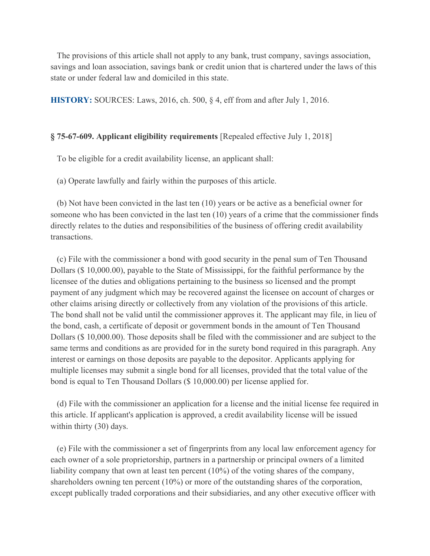The provisions of this article shall not apply to any bank, trust company, savings association, savings and loan association, savings bank or credit union that is chartered under the laws of this state or under federal law and domiciled in this state.

**HISTORY:** SOURCES: Laws, 2016, ch. 500, § 4, eff from and after July 1, 2016.

### **§ 75-67-609. Applicant eligibility requirements** [Repealed effective July 1, 2018]

To be eligible for a credit availability license, an applicant shall:

(a) Operate lawfully and fairly within the purposes of this article.

 (b) Not have been convicted in the last ten (10) years or be active as a beneficial owner for someone who has been convicted in the last ten (10) years of a crime that the commissioner finds directly relates to the duties and responsibilities of the business of offering credit availability transactions.

 (c) File with the commissioner a bond with good security in the penal sum of Ten Thousand Dollars (\$ 10,000.00), payable to the State of Mississippi, for the faithful performance by the licensee of the duties and obligations pertaining to the business so licensed and the prompt payment of any judgment which may be recovered against the licensee on account of charges or other claims arising directly or collectively from any violation of the provisions of this article. The bond shall not be valid until the commissioner approves it. The applicant may file, in lieu of the bond, cash, a certificate of deposit or government bonds in the amount of Ten Thousand Dollars (\$ 10,000.00). Those deposits shall be filed with the commissioner and are subject to the same terms and conditions as are provided for in the surety bond required in this paragraph. Any interest or earnings on those deposits are payable to the depositor. Applicants applying for multiple licenses may submit a single bond for all licenses, provided that the total value of the bond is equal to Ten Thousand Dollars (\$ 10,000.00) per license applied for.

 (d) File with the commissioner an application for a license and the initial license fee required in this article. If applicant's application is approved, a credit availability license will be issued within thirty (30) days.

 (e) File with the commissioner a set of fingerprints from any local law enforcement agency for each owner of a sole proprietorship, partners in a partnership or principal owners of a limited liability company that own at least ten percent (10%) of the voting shares of the company, shareholders owning ten percent (10%) or more of the outstanding shares of the corporation, except publically traded corporations and their subsidiaries, and any other executive officer with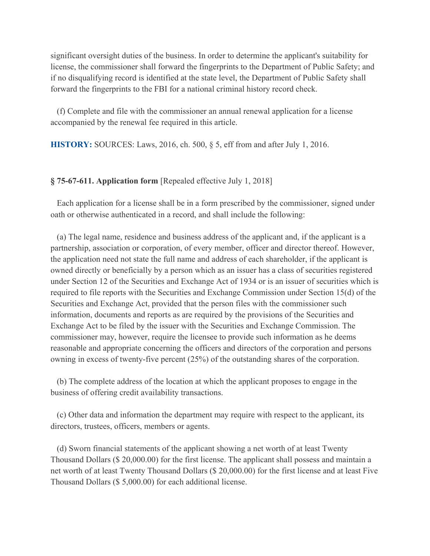significant oversight duties of the business. In order to determine the applicant's suitability for license, the commissioner shall forward the fingerprints to the Department of Public Safety; and if no disqualifying record is identified at the state level, the Department of Public Safety shall forward the fingerprints to the FBI for a national criminal history record check.

 (f) Complete and file with the commissioner an annual renewal application for a license accompanied by the renewal fee required in this article.

**HISTORY:** SOURCES: Laws, 2016, ch. 500, § 5, eff from and after July 1, 2016.

## **§ 75-67-611. Application form** [Repealed effective July 1, 2018]

 Each application for a license shall be in a form prescribed by the commissioner, signed under oath or otherwise authenticated in a record, and shall include the following:

 (a) The legal name, residence and business address of the applicant and, if the applicant is a partnership, association or corporation, of every member, officer and director thereof. However, the application need not state the full name and address of each shareholder, if the applicant is owned directly or beneficially by a person which as an issuer has a class of securities registered under Section 12 of the Securities and Exchange Act of 1934 or is an issuer of securities which is required to file reports with the Securities and Exchange Commission under Section 15(d) of the Securities and Exchange Act, provided that the person files with the commissioner such information, documents and reports as are required by the provisions of the Securities and Exchange Act to be filed by the issuer with the Securities and Exchange Commission. The commissioner may, however, require the licensee to provide such information as he deems reasonable and appropriate concerning the officers and directors of the corporation and persons owning in excess of twenty-five percent (25%) of the outstanding shares of the corporation.

 (b) The complete address of the location at which the applicant proposes to engage in the business of offering credit availability transactions.

 (c) Other data and information the department may require with respect to the applicant, its directors, trustees, officers, members or agents.

 (d) Sworn financial statements of the applicant showing a net worth of at least Twenty Thousand Dollars (\$ 20,000.00) for the first license. The applicant shall possess and maintain a net worth of at least Twenty Thousand Dollars (\$ 20,000.00) for the first license and at least Five Thousand Dollars (\$ 5,000.00) for each additional license.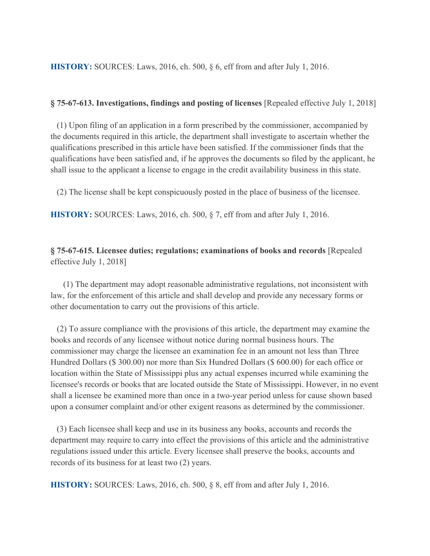**HISTORY:** SOURCES: Laws, 2016, ch. 500, § 6, eff from and after July 1, 2016.

### **§ 75-67-613. Investigations, findings and posting of licenses** [Repealed effective July 1, 2018]

 (1) Upon filing of an application in a form prescribed by the commissioner, accompanied by the documents required in this article, the department shall investigate to ascertain whether the qualifications prescribed in this article have been satisfied. If the commissioner finds that the qualifications have been satisfied and, if he approves the documents so filed by the applicant, he shall issue to the applicant a license to engage in the credit availability business in this state.

(2) The license shall be kept conspicuously posted in the place of business of the licensee.

**HISTORY:** SOURCES: Laws, 2016, ch. 500, § 7, eff from and after July 1, 2016.

# **§ 75-67-615. Licensee duties; regulations; examinations of books and records** [Repealed effective July 1, 2018]

 (1) The department may adopt reasonable administrative regulations, not inconsistent with law, for the enforcement of this article and shall develop and provide any necessary forms or other documentation to carry out the provisions of this article.

 (2) To assure compliance with the provisions of this article, the department may examine the books and records of any licensee without notice during normal business hours. The commissioner may charge the licensee an examination fee in an amount not less than Three Hundred Dollars (\$ 300.00) nor more than Six Hundred Dollars (\$ 600.00) for each office or location within the State of Mississippi plus any actual expenses incurred while examining the licensee's records or books that are located outside the State of Mississippi. However, in no event shall a licensee be examined more than once in a two-year period unless for cause shown based upon a consumer complaint and/or other exigent reasons as determined by the commissioner.

 (3) Each licensee shall keep and use in its business any books, accounts and records the department may require to carry into effect the provisions of this article and the administrative regulations issued under this article. Every licensee shall preserve the books, accounts and records of its business for at least two (2) years.

**HISTORY:** SOURCES: Laws, 2016, ch. 500, § 8, eff from and after July 1, 2016.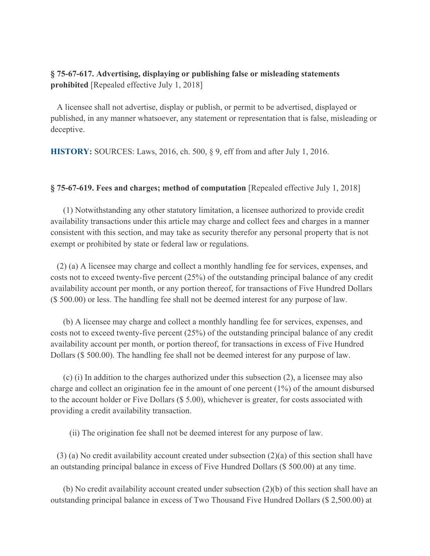## **§ 75-67-617. Advertising, displaying or publishing false or misleading statements prohibited** [Repealed effective July 1, 2018]

 A licensee shall not advertise, display or publish, or permit to be advertised, displayed or published, in any manner whatsoever, any statement or representation that is false, misleading or deceptive.

**HISTORY:** SOURCES: Laws, 2016, ch. 500, § 9, eff from and after July 1, 2016.

### **§ 75-67-619. Fees and charges; method of computation** [Repealed effective July 1, 2018]

 (1) Notwithstanding any other statutory limitation, a licensee authorized to provide credit availability transactions under this article may charge and collect fees and charges in a manner consistent with this section, and may take as security therefor any personal property that is not exempt or prohibited by state or federal law or regulations.

 (2) (a) A licensee may charge and collect a monthly handling fee for services, expenses, and costs not to exceed twenty-five percent (25%) of the outstanding principal balance of any credit availability account per month, or any portion thereof, for transactions of Five Hundred Dollars (\$ 500.00) or less. The handling fee shall not be deemed interest for any purpose of law.

 (b) A licensee may charge and collect a monthly handling fee for services, expenses, and costs not to exceed twenty-five percent (25%) of the outstanding principal balance of any credit availability account per month, or portion thereof, for transactions in excess of Five Hundred Dollars (\$ 500.00). The handling fee shall not be deemed interest for any purpose of law.

 (c) (i) In addition to the charges authorized under this subsection (2), a licensee may also charge and collect an origination fee in the amount of one percent (1%) of the amount disbursed to the account holder or Five Dollars (\$ 5.00), whichever is greater, for costs associated with providing a credit availability transaction.

(ii) The origination fee shall not be deemed interest for any purpose of law.

 (3) (a) No credit availability account created under subsection (2)(a) of this section shall have an outstanding principal balance in excess of Five Hundred Dollars (\$ 500.00) at any time.

 (b) No credit availability account created under subsection (2)(b) of this section shall have an outstanding principal balance in excess of Two Thousand Five Hundred Dollars (\$ 2,500.00) at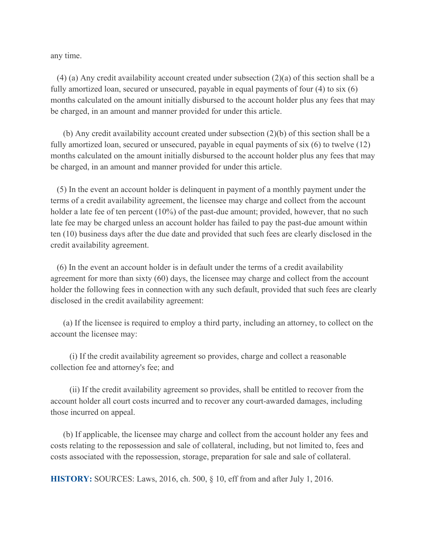any time.

 $(4)$  (a) Any credit availability account created under subsection  $(2)(a)$  of this section shall be a fully amortized loan, secured or unsecured, payable in equal payments of four (4) to six (6) months calculated on the amount initially disbursed to the account holder plus any fees that may be charged, in an amount and manner provided for under this article.

 (b) Any credit availability account created under subsection (2)(b) of this section shall be a fully amortized loan, secured or unsecured, payable in equal payments of six (6) to twelve (12) months calculated on the amount initially disbursed to the account holder plus any fees that may be charged, in an amount and manner provided for under this article.

 (5) In the event an account holder is delinquent in payment of a monthly payment under the terms of a credit availability agreement, the licensee may charge and collect from the account holder a late fee of ten percent (10%) of the past-due amount; provided, however, that no such late fee may be charged unless an account holder has failed to pay the past-due amount within ten (10) business days after the due date and provided that such fees are clearly disclosed in the credit availability agreement.

 (6) In the event an account holder is in default under the terms of a credit availability agreement for more than sixty (60) days, the licensee may charge and collect from the account holder the following fees in connection with any such default, provided that such fees are clearly disclosed in the credit availability agreement:

 (a) If the licensee is required to employ a third party, including an attorney, to collect on the account the licensee may:

 (i) If the credit availability agreement so provides, charge and collect a reasonable collection fee and attorney's fee; and

 (ii) If the credit availability agreement so provides, shall be entitled to recover from the account holder all court costs incurred and to recover any court-awarded damages, including those incurred on appeal.

 (b) If applicable, the licensee may charge and collect from the account holder any fees and costs relating to the repossession and sale of collateral, including, but not limited to, fees and costs associated with the repossession, storage, preparation for sale and sale of collateral.

**HISTORY:** SOURCES: Laws, 2016, ch. 500, § 10, eff from and after July 1, 2016.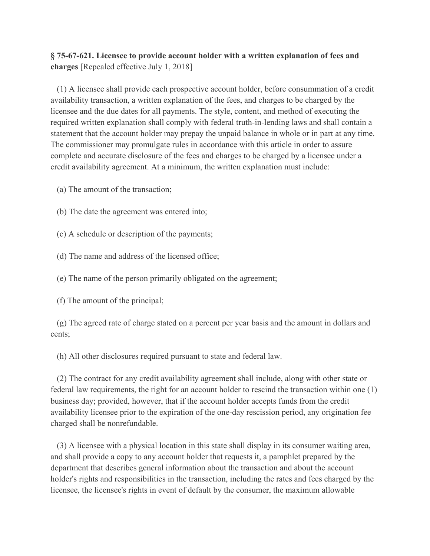# **§ 75-67-621. Licensee to provide account holder with a written explanation of fees and charges** [Repealed effective July 1, 2018]

 (1) A licensee shall provide each prospective account holder, before consummation of a credit availability transaction, a written explanation of the fees, and charges to be charged by the licensee and the due dates for all payments. The style, content, and method of executing the required written explanation shall comply with federal truth-in-lending laws and shall contain a statement that the account holder may prepay the unpaid balance in whole or in part at any time. The commissioner may promulgate rules in accordance with this article in order to assure complete and accurate disclosure of the fees and charges to be charged by a licensee under a credit availability agreement. At a minimum, the written explanation must include:

(a) The amount of the transaction;

(b) The date the agreement was entered into;

(c) A schedule or description of the payments;

(d) The name and address of the licensed office;

(e) The name of the person primarily obligated on the agreement;

(f) The amount of the principal;

 (g) The agreed rate of charge stated on a percent per year basis and the amount in dollars and cents;

(h) All other disclosures required pursuant to state and federal law.

 (2) The contract for any credit availability agreement shall include, along with other state or federal law requirements, the right for an account holder to rescind the transaction within one (1) business day; provided, however, that if the account holder accepts funds from the credit availability licensee prior to the expiration of the one-day rescission period, any origination fee charged shall be nonrefundable.

 (3) A licensee with a physical location in this state shall display in its consumer waiting area, and shall provide a copy to any account holder that requests it, a pamphlet prepared by the department that describes general information about the transaction and about the account holder's rights and responsibilities in the transaction, including the rates and fees charged by the licensee, the licensee's rights in event of default by the consumer, the maximum allowable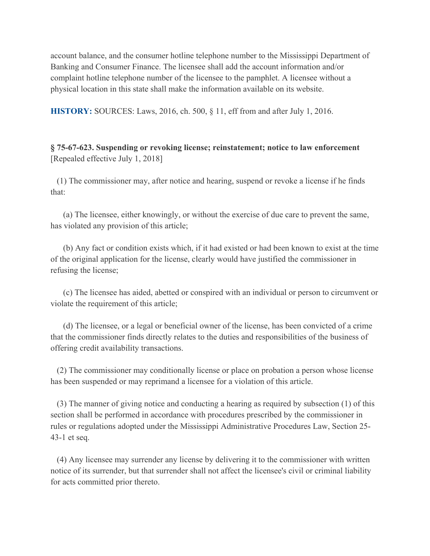account balance, and the consumer hotline telephone number to the Mississippi Department of Banking and Consumer Finance. The licensee shall add the account information and/or complaint hotline telephone number of the licensee to the pamphlet. A licensee without a physical location in this state shall make the information available on its website.

**HISTORY:** SOURCES: Laws, 2016, ch. 500, § 11, eff from and after July 1, 2016.

# **§ 75-67-623. Suspending or revoking license; reinstatement; notice to law enforcement** [Repealed effective July 1, 2018]

 (1) The commissioner may, after notice and hearing, suspend or revoke a license if he finds that:

 (a) The licensee, either knowingly, or without the exercise of due care to prevent the same, has violated any provision of this article;

 (b) Any fact or condition exists which, if it had existed or had been known to exist at the time of the original application for the license, clearly would have justified the commissioner in refusing the license;

 (c) The licensee has aided, abetted or conspired with an individual or person to circumvent or violate the requirement of this article;

 (d) The licensee, or a legal or beneficial owner of the license, has been convicted of a crime that the commissioner finds directly relates to the duties and responsibilities of the business of offering credit availability transactions.

 (2) The commissioner may conditionally license or place on probation a person whose license has been suspended or may reprimand a licensee for a violation of this article.

 (3) The manner of giving notice and conducting a hearing as required by subsection (1) of this section shall be performed in accordance with procedures prescribed by the commissioner in rules or regulations adopted under the Mississippi Administrative Procedures Law, Section 25- 43-1 et seq.

 (4) Any licensee may surrender any license by delivering it to the commissioner with written notice of its surrender, but that surrender shall not affect the licensee's civil or criminal liability for acts committed prior thereto.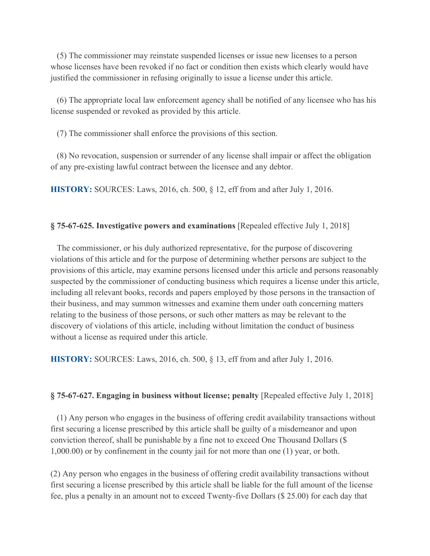(5) The commissioner may reinstate suspended licenses or issue new licenses to a person whose licenses have been revoked if no fact or condition then exists which clearly would have justified the commissioner in refusing originally to issue a license under this article.

 (6) The appropriate local law enforcement agency shall be notified of any licensee who has his license suspended or revoked as provided by this article.

(7) The commissioner shall enforce the provisions of this section.

 (8) No revocation, suspension or surrender of any license shall impair or affect the obligation of any pre-existing lawful contract between the licensee and any debtor.

**HISTORY:** SOURCES: Laws, 2016, ch. 500, § 12, eff from and after July 1, 2016.

### **§ 75-67-625. Investigative powers and examinations** [Repealed effective July 1, 2018]

 The commissioner, or his duly authorized representative, for the purpose of discovering violations of this article and for the purpose of determining whether persons are subject to the provisions of this article, may examine persons licensed under this article and persons reasonably suspected by the commissioner of conducting business which requires a license under this article, including all relevant books, records and papers employed by those persons in the transaction of their business, and may summon witnesses and examine them under oath concerning matters relating to the business of those persons, or such other matters as may be relevant to the discovery of violations of this article, including without limitation the conduct of business without a license as required under this article.

**HISTORY:** SOURCES: Laws, 2016, ch. 500, § 13, eff from and after July 1, 2016.

#### **§ 75-67-627. Engaging in business without license; penalty** [Repealed effective July 1, 2018]

 (1) Any person who engages in the business of offering credit availability transactions without first securing a license prescribed by this article shall be guilty of a misdemeanor and upon conviction thereof, shall be punishable by a fine not to exceed One Thousand Dollars (\$ 1,000.00) or by confinement in the county jail for not more than one (1) year, or both.

(2) Any person who engages in the business of offering credit availability transactions without first securing a license prescribed by this article shall be liable for the full amount of the license fee, plus a penalty in an amount not to exceed Twenty-five Dollars (\$ 25.00) for each day that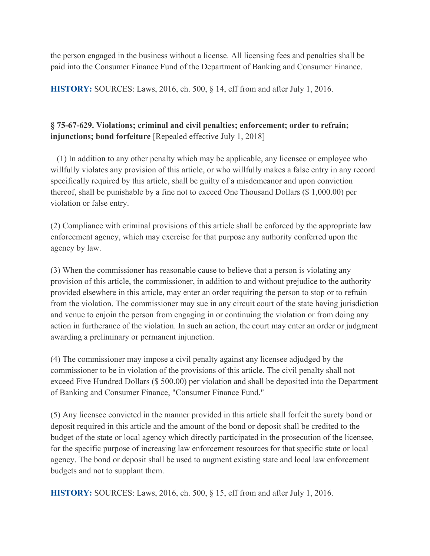the person engaged in the business without a license. All licensing fees and penalties shall be paid into the Consumer Finance Fund of the Department of Banking and Consumer Finance.

**HISTORY:** SOURCES: Laws, 2016, ch. 500, § 14, eff from and after July 1, 2016.

# **§ 75-67-629. Violations; criminal and civil penalties; enforcement; order to refrain; injunctions; bond forfeiture** [Repealed effective July 1, 2018]

 (1) In addition to any other penalty which may be applicable, any licensee or employee who willfully violates any provision of this article, or who willfully makes a false entry in any record specifically required by this article, shall be guilty of a misdemeanor and upon conviction thereof, shall be punishable by a fine not to exceed One Thousand Dollars (\$ 1,000.00) per violation or false entry.

(2) Compliance with criminal provisions of this article shall be enforced by the appropriate law enforcement agency, which may exercise for that purpose any authority conferred upon the agency by law.

(3) When the commissioner has reasonable cause to believe that a person is violating any provision of this article, the commissioner, in addition to and without prejudice to the authority provided elsewhere in this article, may enter an order requiring the person to stop or to refrain from the violation. The commissioner may sue in any circuit court of the state having jurisdiction and venue to enjoin the person from engaging in or continuing the violation or from doing any action in furtherance of the violation. In such an action, the court may enter an order or judgment awarding a preliminary or permanent injunction.

(4) The commissioner may impose a civil penalty against any licensee adjudged by the commissioner to be in violation of the provisions of this article. The civil penalty shall not exceed Five Hundred Dollars (\$ 500.00) per violation and shall be deposited into the Department of Banking and Consumer Finance, "Consumer Finance Fund."

(5) Any licensee convicted in the manner provided in this article shall forfeit the surety bond or deposit required in this article and the amount of the bond or deposit shall be credited to the budget of the state or local agency which directly participated in the prosecution of the licensee, for the specific purpose of increasing law enforcement resources for that specific state or local agency. The bond or deposit shall be used to augment existing state and local law enforcement budgets and not to supplant them.

**HISTORY:** SOURCES: Laws, 2016, ch. 500, § 15, eff from and after July 1, 2016.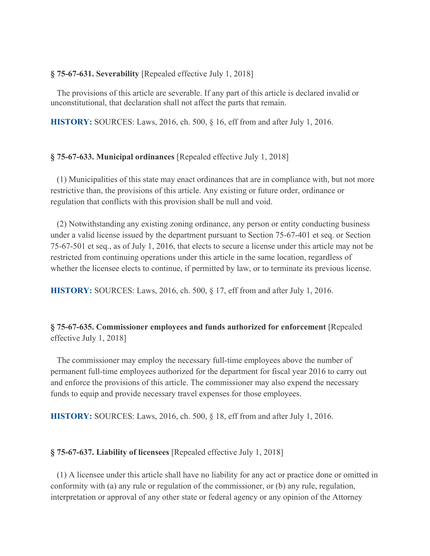### **§ 75-67-631. Severability** [Repealed effective July 1, 2018]

 The provisions of this article are severable. If any part of this article is declared invalid or unconstitutional, that declaration shall not affect the parts that remain.

**HISTORY:** SOURCES: Laws, 2016, ch. 500, § 16, eff from and after July 1, 2016.

## **§ 75-67-633. Municipal ordinances** [Repealed effective July 1, 2018]

 (1) Municipalities of this state may enact ordinances that are in compliance with, but not more restrictive than, the provisions of this article. Any existing or future order, ordinance or regulation that conflicts with this provision shall be null and void.

 (2) Notwithstanding any existing zoning ordinance, any person or entity conducting business under a valid license issued by the department pursuant to Section 75-67-401 et seq. or Section 75-67-501 et seq., as of July 1, 2016, that elects to secure a license under this article may not be restricted from continuing operations under this article in the same location, regardless of whether the licensee elects to continue, if permitted by law, or to terminate its previous license.

**HISTORY:** SOURCES: Laws, 2016, ch. 500, § 17, eff from and after July 1, 2016.

# **§ 75-67-635. Commissioner employees and funds authorized for enforcement** [Repealed effective July 1, 2018]

 The commissioner may employ the necessary full-time employees above the number of permanent full-time employees authorized for the department for fiscal year 2016 to carry out and enforce the provisions of this article. The commissioner may also expend the necessary funds to equip and provide necessary travel expenses for those employees.

**HISTORY:** SOURCES: Laws, 2016, ch. 500, § 18, eff from and after July 1, 2016.

## **§ 75-67-637. Liability of licensees** [Repealed effective July 1, 2018]

 (1) A licensee under this article shall have no liability for any act or practice done or omitted in conformity with (a) any rule or regulation of the commissioner, or (b) any rule, regulation, interpretation or approval of any other state or federal agency or any opinion of the Attorney